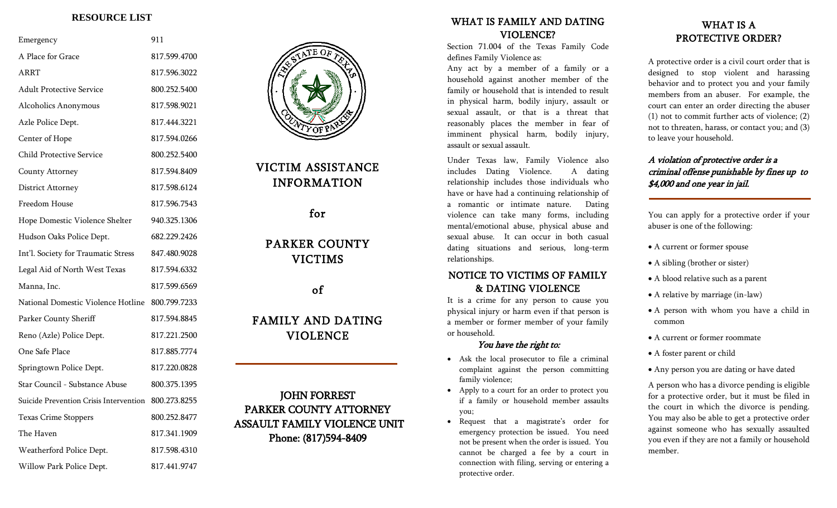### **RESOURCE LIST**

| Emergency                              |                                     | 911          |
|----------------------------------------|-------------------------------------|--------------|
| A Place for Grace                      |                                     | 817.599.4700 |
| ARRT                                   |                                     | 817.596.3022 |
|                                        | <b>Adult Protective Service</b>     | 800.252.5400 |
|                                        | Alcoholics Anonymous                | 817.598.9021 |
|                                        | Azle Police Dept.                   | 817.444.3221 |
|                                        | Center of Hope                      | 817.594.0266 |
|                                        | <b>Child Protective Service</b>     | 800.252.5400 |
|                                        | County Attorney                     | 817.594.8409 |
|                                        | District Attorney                   | 817.598.6124 |
|                                        | Freedom House                       | 817.596.7543 |
|                                        | Hope Domestic Violence Shelter      | 940.325.1306 |
|                                        | Hudson Oaks Police Dept.            | 682.229.2426 |
|                                        | Int'l. Society for Traumatic Stress | 847.480.9028 |
| Legal Aid of North West Texas          |                                     | 817.594.6332 |
| Manna, Inc.                            |                                     | 817.599.6569 |
| National Domestic Violence Hotline     |                                     | 800.799.7233 |
| Parker County Sheriff                  |                                     | 817.594.8845 |
| Reno (Azle) Police Dept.               |                                     | 817.221.2500 |
| One Safe Place                         |                                     | 817.885.7774 |
|                                        | Springtown Police Dept.             | 817.220.0828 |
| Star Council - Substance Abuse         |                                     | 800.375.1395 |
| Suicide Prevention Crisis Intervention |                                     | 800.273.8255 |
| Texas Crime Stoppers                   |                                     | 800.252.8477 |
| The Haven                              |                                     | 817.341.1909 |
| Weatherford Police Dept.               |                                     | 817.598.4310 |
|                                        | Willow Park Police Dept.            | 817.441.9747 |



# VICTIM ASSISTANCE INFORMATION

## for

# PARKER COUNTY VICTIMS

of

# FAMILY AND DATING VIOLENCE

I

## JOHN FORREST PARKER COUNTY ATTORNEY ASSAULT FAMILY VIOLENCE UNIT Phone: (817)594-8409

## WHAT IS FAMILY AND DATING VIOLENCE?

Section 71.004 of the Texas Family Code defines Family Violence as:

Any act by a member of a family or a household against another member of the family or household that is intended to result in physical harm, bodily injury, assault or sexual assault, or that is a threat that reasonably places the member in fear of imminent physical harm, bodily injury, assault or sexual assault.

Under Texas law, Family Violence also includes Dating Violence. A dating relationship includes those individuals who have or have had a continuing relationship of a romantic or intimate nature. Dating violence can take many forms, including mental/emotional abuse, physical abuse and sexual abuse. It can occur in both casual dating situations and serious, long-term relationships.

## NOTICE TO VICTIMS OF FAMILY & DATING VIOLENCE

It is a crime for any person to cause you physical injury or harm even if that person is a member or former member of your family or household.

### You have the right to:

- Ask the local prosecutor to file a criminal complaint against the person committing family violence;
- Apply to a court for an order to protect you if a family or household member assaults you;
- Request that a magistrate's order for emergency protection be issued. You need not be present when the order is issued. You cannot be charged a fee by a court in connection with filing, serving or entering a protective order.

## WHAT IS A PROTECTIVE ORDER?

A protective order is a civil court order that is designed to stop violent and harassing behavior and to protect you and your family members from an abuser. For example, the court can enter an order directing the abuser (1) not to commit further acts of violence; (2) not to threaten, harass, or contact you; and (3) to leave your household.

### A violation of protective order is a criminal offense punishable by fines up to \$4,000 and one year in jail.

You can apply for a protective order if your abuser is one of the following:

- A current or former spouse
- A sibling (brother or sister)
- A blood relative such as a parent
- A relative by marriage (in-law)
- A person with whom you have a child in common
- A current or former roommate
- A foster parent or child
- Any person you are dating or have dated

A person who has a divorce pending is eligible for a protective order, but it must be filed in the court in which the divorce is pending. You may also be able to get a protective order against someone who has sexually assaulted you even if they are not a family or household member.